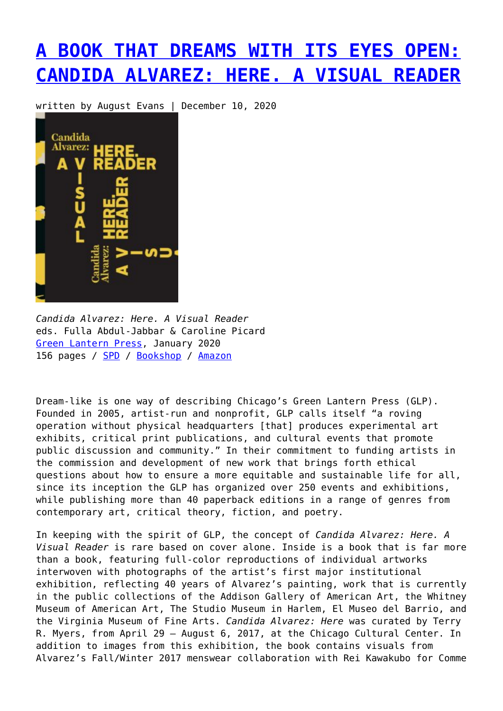## **[A BOOK THAT DREAMS WITH ITS EYES OPEN:](https://entropymag.org/candida-alvarez-here-a-visual-reader/) [CANDIDA ALVAREZ: HERE. A VISUAL READER](https://entropymag.org/candida-alvarez-here-a-visual-reader/)**

written by August Evans | December 10, 2020



*Candida Alvarez: Here. A Visual Reader* eds. Fulla Abdul-Jabbar & Caroline Picard [Green Lantern Press](http://thegreenlantern.org/product/candida-alvarez-here-a-visual-reader/), January 2020 156 pages / [SPD](https://www.spdbooks.org/Products/9780997416572/candida-alvarez-here-a-visual-reader.aspx) / [Bookshop](https://bookshop.org/books/candida-alvarez-here-a-visual-reader/9780997416572?aid=3601) / [Amazon](https://amzn.to/2VNRLKA)

Dream-like is one way of describing Chicago's Green Lantern Press (GLP). Founded in 2005, artist-run and nonprofit, GLP calls itself "a roving operation without physical headquarters [that] produces experimental art exhibits, critical print publications, and cultural events that promote public discussion and community." In their commitment to funding artists in the commission and development of new work that brings forth ethical questions about how to ensure a more equitable and sustainable life for all, since its inception the GLP has organized over 250 events and exhibitions, while publishing more than 40 paperback editions in a range of genres from contemporary art, critical theory, fiction, and poetry.

In keeping with the spirit of GLP, the concept of *Candida Alvarez: Here. A Visual Reader* is rare based on cover alone. Inside is a book that is far more than a book, featuring full-color reproductions of individual artworks interwoven with photographs of the artist's first major institutional exhibition, reflecting 40 years of Alvarez's painting, work that is currently in the public collections of the Addison Gallery of American Art, the Whitney Museum of American Art, The Studio Museum in Harlem, El Museo del Barrio, and the Virginia Museum of Fine Arts. *Candida Alvarez: Here* was curated by Terry R. Myers, from April 29 – August 6, 2017, at the Chicago Cultural Center. In addition to images from this exhibition, the book contains visuals from Alvarez's Fall/Winter 2017 menswear collaboration with Rei Kawakubo for Comme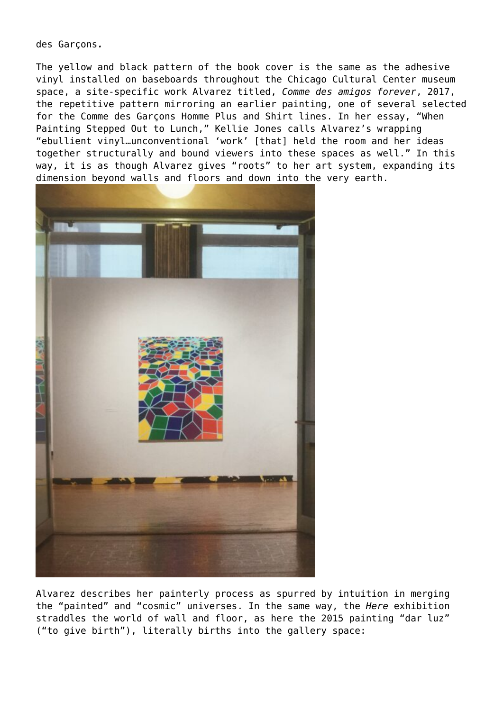des Garçons*.*

The yellow and black pattern of the book cover is the same as the adhesive vinyl installed on baseboards throughout the Chicago Cultural Center museum space, a site-specific work Alvarez titled, *Comme des amigos forever*, 2017, the repetitive pattern mirroring an earlier painting, one of several selected for the Comme des Garçons Homme Plus and Shirt lines. In her essay, "When Painting Stepped Out to Lunch," Kellie Jones calls Alvarez's wrapping "ebullient vinyl…unconventional 'work' [that] held the room and her ideas together structurally and bound viewers into these spaces as well." In this way, it is as though Alvarez gives "roots" to her art system, expanding its dimension beyond walls and floors and down into the very earth.



Alvarez describes her painterly process as spurred by intuition in merging the "painted" and "cosmic" universes. In the same way, the *Here* exhibition straddles the world of wall and floor, as here the 2015 painting "dar luz" ("to give birth"), literally births into the gallery space: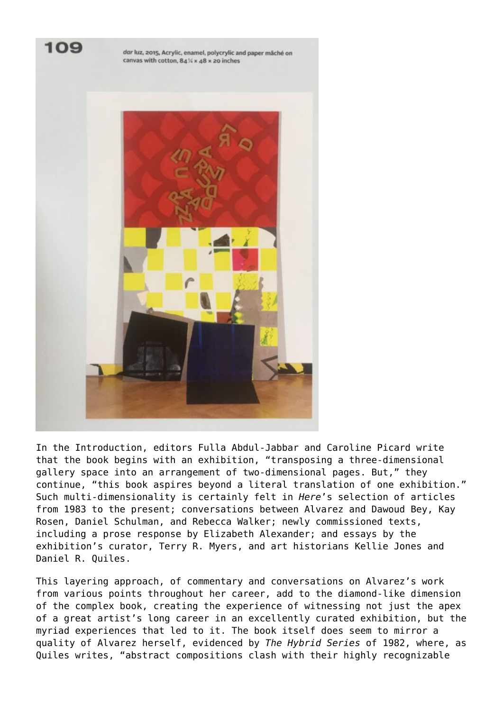

In the Introduction, editors Fulla Abdul-Jabbar and Caroline Picard write that the book begins with an exhibition, "transposing a three-dimensional gallery space into an arrangement of two-dimensional pages. But," they continue, "this book aspires beyond a literal translation of one exhibition." Such multi-dimensionality is certainly felt in *Here*'s selection of articles from 1983 to the present; conversations between Alvarez and Dawoud Bey, Kay Rosen, Daniel Schulman, and Rebecca Walker; newly commissioned texts, including a prose response by Elizabeth Alexander; and essays by the exhibition's curator, Terry R. Myers, and art historians Kellie Jones and Daniel R. Quiles.

This layering approach, of commentary and conversations on Alvarez's work from various points throughout her career, add to the diamond-like dimension of the complex book, creating the experience of witnessing not just the apex of a great artist's long career in an excellently curated exhibition, but the myriad experiences that led to it. The book itself does seem to mirror a quality of Alvarez herself, evidenced by *The Hybrid Series* of 1982, where, as Quiles writes, "abstract compositions clash with their highly recognizable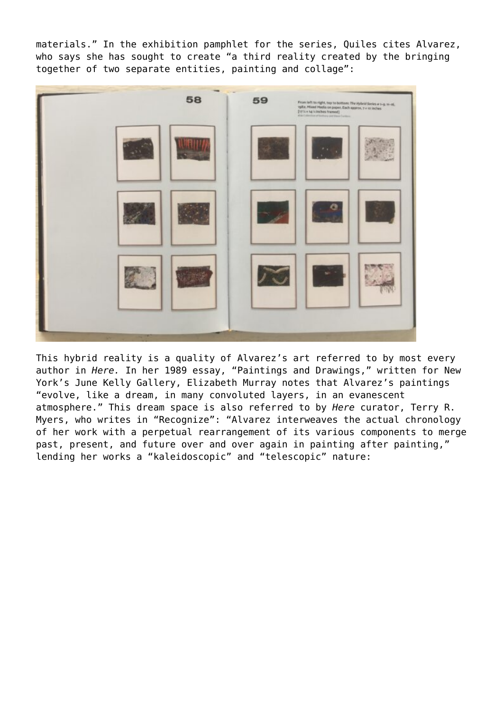materials." In the exhibition pamphlet for the series, Quiles cites Alvarez, who says she has sought to create "a third reality created by the bringing together of two separate entities, painting and collage":



This hybrid reality is a quality of Alvarez's art referred to by most every author in *Here.* In her 1989 essay, "Paintings and Drawings," written for New York's June Kelly Gallery, Elizabeth Murray notes that Alvarez's paintings "evolve, like a dream, in many convoluted layers, in an evanescent atmosphere." This dream space is also referred to by *Here* curator, Terry R. Myers, who writes in "Recognize": "Alvarez interweaves the actual chronology of her work with a perpetual rearrangement of its various components to merge past, present, and future over and over again in painting after painting," lending her works a "kaleidoscopic" and "telescopic" nature: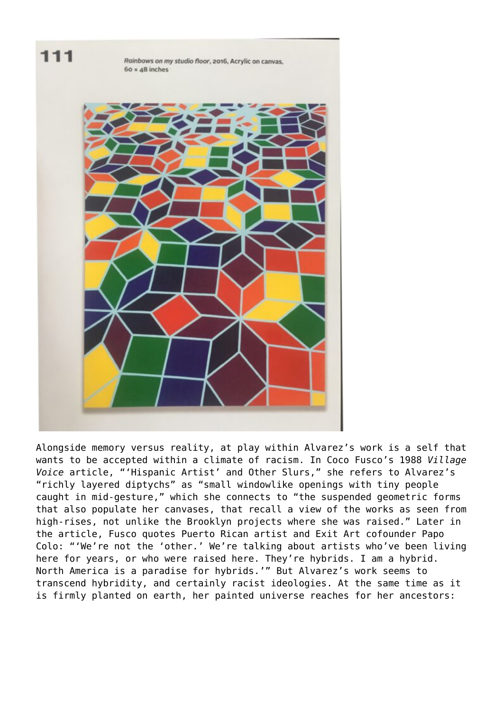

Alongside memory versus reality, at play within Alvarez's work is a self that wants to be accepted within a climate of racism. In Coco Fusco's 1988 *Village Voice* article, "'Hispanic Artist' and Other Slurs," she refers to Alvarez's "richly layered diptychs" as "small windowlike openings with tiny people caught in mid-gesture," which she connects to "the suspended geometric forms that also populate her canvases, that recall a view of the works as seen from high-rises, not unlike the Brooklyn projects where she was raised." Later in the article, Fusco quotes Puerto Rican artist and Exit Art cofounder Papo Colo: "'We're not the 'other.' We're talking about artists who've been living here for years, or who were raised here. They're hybrids. I am a hybrid. North America is a paradise for hybrids.'" But Alvarez's work seems to transcend hybridity, and certainly racist ideologies. At the same time as it is firmly planted on earth, her painted universe reaches for her ancestors: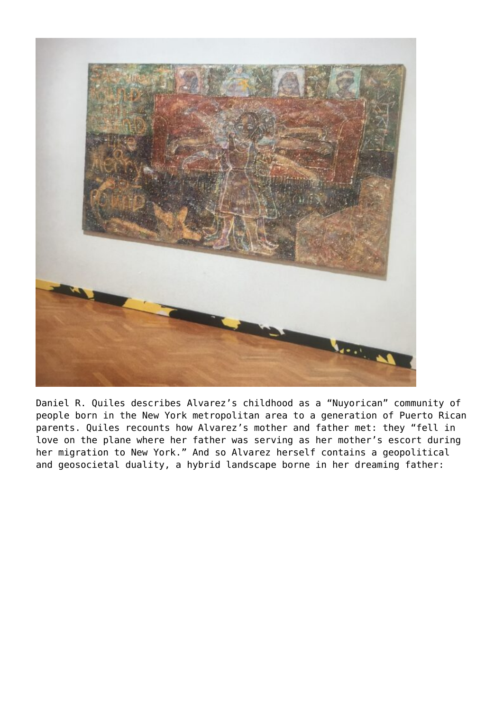

Daniel R. Quiles describes Alvarez's childhood as a "Nuyorican" community of people born in the New York metropolitan area to a generation of Puerto Rican parents. Quiles recounts how Alvarez's mother and father met: they "fell in love on the plane where her father was serving as her mother's escort during her migration to New York." And so Alvarez herself contains a geopolitical and geosocietal duality, a hybrid landscape borne in her dreaming father: